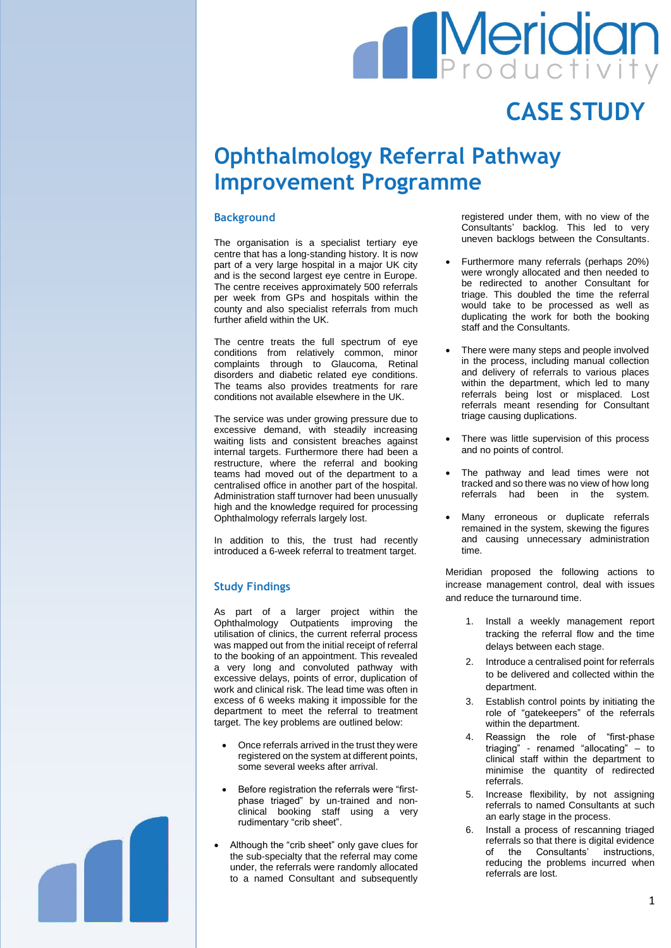# **Meridian**

## **CASE STUDY**

## **Ophthalmology Referral Pathway Improvement Programme**

#### **Background**

The organisation is a specialist tertiary eye centre that has a long-standing history. It is now part of a very large hospital in a major UK city and is the second largest eye centre in Europe. The centre receives approximately 500 referrals per week from GPs and hospitals within the county and also specialist referrals from much further afield within the UK.

The centre treats the full spectrum of eye conditions from relatively common, minor complaints through to Glaucoma, Retinal disorders and diabetic related eye conditions. The teams also provides treatments for rare conditions not available elsewhere in the UK.

The service was under growing pressure due to excessive demand, with steadily increasing waiting lists and consistent breaches against internal targets. Furthermore there had been a restructure, where the referral and booking teams had moved out of the department to a centralised office in another part of the hospital. Administration staff turnover had been unusually high and the knowledge required for processing Ophthalmology referrals largely lost.

In addition to this, the trust had recently introduced a 6-week referral to treatment target.

#### **Study Findings**

As part of a larger project within the Ophthalmology Outpatients improving the utilisation of clinics, the current referral process was mapped out from the initial receipt of referral to the booking of an appointment. This revealed a very long and convoluted pathway with excessive delays, points of error, duplication of work and clinical risk. The lead time was often in excess of 6 weeks making it impossible for the department to meet the referral to treatment target. The key problems are outlined below:

- Once referrals arrived in the trust they were registered on the system at different points, some several weeks after arrival.
- Before registration the referrals were "firstphase triaged" by un-trained and nonclinical booking staff using a very rudimentary "crib sheet".
- Although the "crib sheet" only gave clues for the sub-specialty that the referral may come under, the referrals were randomly allocated to a named Consultant and subsequently

registered under them, with no view of the Consultants' backlog. This led to very uneven backlogs between the Consultants.

- Furthermore many referrals (perhaps 20%) were wrongly allocated and then needed to be redirected to another Consultant for triage. This doubled the time the referral would take to be processed as well as duplicating the work for both the booking staff and the Consultants.
- There were many steps and people involved in the process, including manual collection and delivery of referrals to various places within the department, which led to many referrals being lost or misplaced. Lost referrals meant resending for Consultant triage causing duplications.
- There was little supervision of this process and no points of control.
- The pathway and lead times were not tracked and so there was no view of how long referrals had been in the system.
- Many erroneous or duplicate referrals remained in the system, skewing the figures and causing unnecessary administration time.

Meridian proposed the following actions to increase management control, deal with issues and reduce the turnaround time.

- 1. Install a weekly management report tracking the referral flow and the time delays between each stage.
- 2. Introduce a centralised point for referrals to be delivered and collected within the department.
- 3. Establish control points by initiating the role of "gatekeepers" of the referrals within the department.
- 4. Reassign the role of "first-phase triaging" - renamed "allocating" – to clinical staff within the department to minimise the quantity of redirected referrals.
- 5. Increase flexibility, by not assigning referrals to named Consultants at such an early stage in the process.
- 6. Install a process of rescanning triaged referrals so that there is digital evidence of the Consultants' instructions, reducing the problems incurred when referrals are lost.